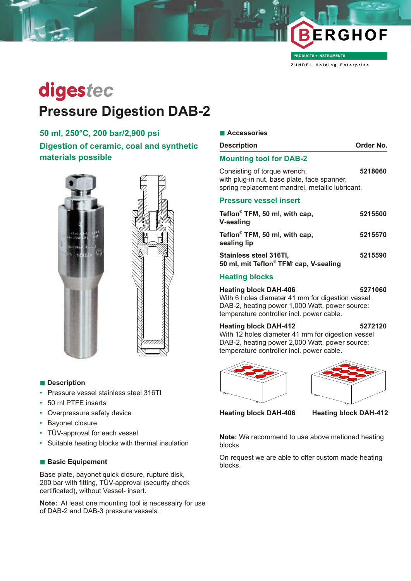

**PRODUCTS + INSTRUMENTS** 

**Z U N D E L H o l d i n g E n t e r p r i s e**

# digestec **Pressure Digestion DAB-2**

# **50 ml, 250°C, 200 bar/2,900 psi Digestion of ceramic, coal and synthetic materials possible**



#### **n** Description

- Pressure vessel stainless steel 316TI
- 50 ml PTFE inserts
- Overpressure safety device
- Bayonet closure
- TÜV-approval for each vessel
- Suitable heating blocks with thermal insulation

#### **n Basic Equipement**

Base plate, bayonet quick closure, rupture disk, 200 bar with fitting, TÜV-approval (security check certificated), without Vessel- insert.

**Note:** At least one mounting tool is necessairy for use of DAB-2 and DAB-3 pressure vessels.

| <b>Description</b>                                                                                                             | Order No. |
|--------------------------------------------------------------------------------------------------------------------------------|-----------|
| <b>Mounting tool for DAB-2</b>                                                                                                 |           |
| Consisting of torque wrench,<br>with plug-in nut, base plate, face spanner,<br>spring replacement mandrel, metallic lubricant. | 5218060   |
| <b>Pressure vessel insert</b>                                                                                                  |           |
| Teflon® TFM, 50 ml, with cap,<br><b>V-sealing</b>                                                                              | 5215500   |
| Teflon® TFM, 50 ml, with cap,<br>sealing lip                                                                                   | 5215570   |
| Stainless steel 316TI,<br>50 ml, mit Teflon® TFM' cap, V-sealing                                                               | 5215590   |

## **Heating blocks**

**Heating block DAH-406 5271060** With 6 holes diameter 41 mm for digestion vessel DAB-2, heating power 1,000 Watt, power source: temperature controller incl. power cable.

#### **Heating block DAH-412 5272120**

With 12 holes diameter 41 mm for digestion vessel DAB-2, heating power 2,000 Watt, power source: temperature controller incl. power cable.





**Heating block DAH-406 Heating block DAH-412**

**Note:** We recommend to use above metioned heating blocks

On request we are able to offer custom made heating blocks.